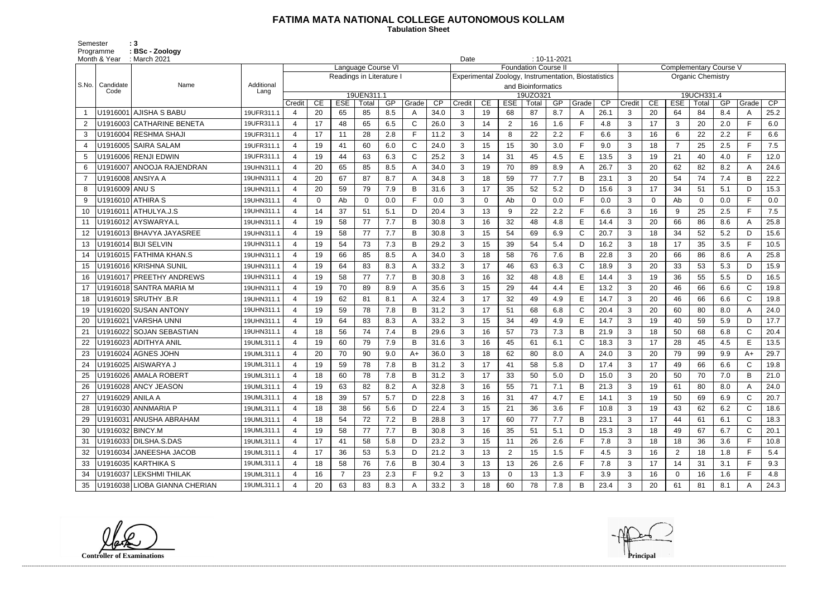## **FATIMA MATA NATIONAL COLLEGE AUTONOMOUS KOLLAM**

Semester : 3 Programme **: BSc - Zoology**  **Tabulation Sheet** 

| Month & Year               | March 2021 :                  | $: 10 - 11 - 2021$<br>Date |                                                                        |          |                          |                    |     |              |      |                                                                                    |             |                |                    |     |              |      |                                                                        |                               |                |                          |     |              |      |  |  |
|----------------------------|-------------------------------|----------------------------|------------------------------------------------------------------------|----------|--------------------------|--------------------|-----|--------------|------|------------------------------------------------------------------------------------|-------------|----------------|--------------------|-----|--------------|------|------------------------------------------------------------------------|-------------------------------|----------------|--------------------------|-----|--------------|------|--|--|
|                            |                               |                            |                                                                        |          |                          | Language Course VI |     |              |      | <b>Foundation Course I</b><br>Experimental Zoology, Instrumentation, Biostatistics |             |                |                    |     |              |      |                                                                        | <b>Complementary Course V</b> |                |                          |     |              |      |  |  |
|                            | Name                          |                            |                                                                        |          | Readings in Literature I |                    |     |              |      |                                                                                    |             |                |                    |     |              |      |                                                                        |                               |                | <b>Organic Chemistry</b> |     |              |      |  |  |
| S.No.<br>Candidate<br>Code |                               | Additional<br>Lang         |                                                                        |          |                          |                    |     |              |      |                                                                                    |             |                | and Bioinformatics |     |              |      |                                                                        |                               |                |                          |     |              |      |  |  |
|                            |                               |                            | 19UEN311.1<br>CP<br>CE<br><b>ESE</b><br>GP<br>Grade<br>Credit<br>Total |          |                          |                    |     |              |      | 19UZO321<br>Credit<br>CE<br><b>ESE</b><br>GP<br>$\overline{CP}$<br>Total<br>Grade  |             |                |                    |     |              |      | 19UCH331.4<br>CE<br><b>ESE</b><br>Total<br>GP<br>Grade<br>CP<br>Credit |                               |                |                          |     |              |      |  |  |
| U1916001                   | <b>AJISHA S BABU</b>          | 19UFR311.1                 |                                                                        | 20       | 65                       | 85                 | 8.5 |              | 34.0 | 3                                                                                  | 19          | 68             | 87                 | 8.7 | A            | 26.1 | 3                                                                      | 20                            | 64             | 84                       | 8.4 |              | 25.2 |  |  |
| 2                          | U1916003 CATHARINE BENETA     | 19UFR311.1                 | 4                                                                      | 17       | 48                       | 65                 | 6.5 | C            | 26.0 | 3                                                                                  | 14          | $\overline{2}$ | 16                 | 1.6 | F            | 4.8  | 3                                                                      | 17                            | 3              | 20                       | 2.0 | E.           | 6.0  |  |  |
| 3                          | U1916004 RESHMA SHAJI         | 19UFR311.1                 | $\overline{4}$                                                         | 17       | 11                       | 28                 | 2.8 | F.           | 11.2 | $\mathbf{3}$                                                                       | 14          | 8              | 22                 | 2.2 | F            | 6.6  | 3                                                                      | 16                            | 6              | 22                       | 2.2 | E.           | 6.6  |  |  |
| 4                          | U1916005 SAIRA SALAM          | 19UFR311.1                 |                                                                        | 19       | 41                       | 60                 | 6.0 | $\mathsf{C}$ | 24.0 | 3                                                                                  | 15          | 15             | 30                 | 3.0 | $\mathsf{F}$ | 9.0  | 3                                                                      | 18                            | $\overline{7}$ | 25                       | 2.5 |              | 7.5  |  |  |
| -5                         | U1916006 RENJI EDWIN          | 19UFR311.1                 | $\overline{4}$                                                         | 19       | 44                       | 63                 | 6.3 | $\mathsf{C}$ | 25.2 | 3                                                                                  | 14          | 31             | 45                 | 4.5 | E            | 13.5 | 3                                                                      | 19                            | 21             | 40                       | 4.0 | F.           | 12.0 |  |  |
| 6                          | U1916007 ANOOJA RAJENDRAN     | 19UHN311.1                 |                                                                        | 20       | 65                       | 85                 | 8.5 |              | 34.0 | 3                                                                                  | 19          | 70             | 89                 | 8.9 | A            | 26.7 | 3                                                                      | 20                            | 62             | 82                       | 8.2 |              | 24.6 |  |  |
| $\overline{7}$             | U1916008 ANSIYA A             | 19UHN311.1                 | 4                                                                      | 20       | 67                       | 87                 | 8.7 | Α            | 34.8 | 3                                                                                  | 18          | 59             | 77                 | 7.7 | B            | 23.1 | 3                                                                      | 20                            | 54             | 74                       | 7.4 | B            | 22.2 |  |  |
| U1916009 ANU S<br>8        |                               | 19UHN311.1                 | 4                                                                      | 20       | 59                       | 79                 | 7.9 | В            | 31.6 | 3                                                                                  | 17          | 35             | 52                 | 5.2 | D            | 15.6 | 3                                                                      | 17                            | 34             | 51                       | 5.1 | D            | 15.3 |  |  |
| 9                          | U1916010 ATHIRA S             | 19UHN311.1                 |                                                                        | $\Omega$ | Ab                       | $\Omega$           | 0.0 | F.           | 0.0  | 3                                                                                  | $\mathbf 0$ | Ab             | $\mathbf 0$        | 0.0 | $\mathsf{F}$ | 0.0  | 3                                                                      | $\Omega$                      | Ab             | $\Omega$                 | 0.0 | Е            | 0.0  |  |  |
| 10                         | U1916011 ATHULYA.J.S          | 19UHN311.1                 | $\overline{4}$                                                         | 14       | 37                       | 51                 | 5.1 | D            | 20.4 | 3                                                                                  | 13          | 9              | 22                 | 2.2 | F            | 6.6  | 3                                                                      | 16                            | 9              | 25                       | 2.5 | F.           | 7.5  |  |  |
| 11                         | U1916012 AYSWARYA.L           | 19UHN311.1                 |                                                                        | 19       | 58                       | 77                 | 7.7 | B            | 30.8 | 3                                                                                  | 16          | 32             | 48                 | 4.8 | E            | 14.4 | 3                                                                      | 20                            | 66             | 86                       | 8.6 |              | 25.8 |  |  |
| 12                         | U1916013 BHAVYA JAYASREE      | 19UHN311.1                 | $\overline{4}$                                                         | 19       | 58                       | 77                 | 7.7 | B            | 30.8 | 3                                                                                  | 15          | 54             | 69                 | 6.9 | $\mathsf{C}$ | 20.7 | 3                                                                      | 18                            | 34             | 52                       | 5.2 | D.           | 15.6 |  |  |
| 13                         | U1916014 BIJI SELVIN          | 19UHN311.1                 | $\overline{4}$                                                         | 19       | 54                       | 73                 | 7.3 | В            | 29.2 | 3                                                                                  | 15          | 39             | 54                 | 5.4 | D            | 16.2 | 3                                                                      | 18                            | 17             | 35                       | 3.5 | F            | 10.5 |  |  |
| 14                         | U1916015 FATHIMA KHAN.S       | 19UHN311.1                 |                                                                        | 19       | 66                       | 85                 | 8.5 | Α            | 34.0 | 3                                                                                  | 18          | 58             | 76                 | 7.6 | B            | 22.8 | 3                                                                      | 20                            | 66             | 86                       | 8.6 |              | 25.8 |  |  |
| 15                         | U1916016 KRISHNA SUNIL        | 19UHN311.1                 | $\boldsymbol{\varDelta}$                                               | 19       | 64                       | 83                 | 8.3 | A            | 33.2 | $\mathbf{3}$                                                                       | 17          | 46             | 63                 | 6.3 | $\mathsf{C}$ | 18.9 | 3                                                                      | 20                            | 33             | 53                       | 5.3 | D            | 15.9 |  |  |
| 16                         | U1916017 PREETHY ANDREWS      | 19UHN311.1                 |                                                                        | 19       | 58                       | 77                 | 7.7 | B            | 30.8 | 3                                                                                  | 16          | 32             | 48                 | 4.8 | E            | 14.4 | 3                                                                      | 19                            | 36             | 55                       | 5.5 | D.           | 16.5 |  |  |
| 17                         | U1916018 SANTRA MARIA M       | 19UHN311.1                 | 4                                                                      | 19       | 70                       | 89                 | 8.9 | Α            | 35.6 | 3                                                                                  | 15          | 29             | 44                 | 4.4 | E            | 13.2 | 3                                                                      | 20                            | 46             | 66                       | 6.6 | $\mathsf{C}$ | 19.8 |  |  |
| 18                         | U1916019 SRUTHY .B.R          | 19UHN311.1                 | $\overline{4}$                                                         | 19       | 62                       | 81                 | 8.1 | А            | 32.4 | $\mathbf{3}$                                                                       | 17          | 32             | 49                 | 4.9 | E            | 14.7 | 3                                                                      | 20                            | 46             | 66                       | 6.6 | $\mathsf{C}$ | 19.8 |  |  |
| 19                         | U1916020 SUSAN ANTONY         | 19UHN311.1                 |                                                                        | 19       | 59                       | 78                 | 7.8 | В            | 31.2 | 3                                                                                  | 17          | 51             | 68                 | 6.8 | $\mathsf{C}$ | 20.4 | 3                                                                      | 20                            | 60             | 80                       | 8.0 |              | 24.0 |  |  |
| U1916021<br>20             | VARSHA UNNI                   | 19UHN311.1                 | 4                                                                      | 19       | 64                       | 83                 | 8.3 | Α            | 33.2 | 3                                                                                  | 15          | 34             | 49                 | 4.9 | E            | 14.7 | 3                                                                      | 19                            | 40             | 59                       | 5.9 | D            | 17.7 |  |  |
| 21                         | U1916022 SOJAN SEBASTIAN      | 19UHN311.1                 | 4                                                                      | 18       | 56                       | 74                 | 7.4 | B            | 29.6 | 3                                                                                  | 16          | 57             | 73                 | 7.3 | B            | 21.9 | 3                                                                      | 18                            | 50             | 68                       | 6.8 |              | 20.4 |  |  |
| 22                         | U1916023 ADITHYA ANIL         | 19UML311.1                 | 4                                                                      | 19       | 60                       | 79                 | 7.9 |              | 31.6 | 3                                                                                  | 16          | 45             | 61                 | 6.1 | $\mathsf{C}$ | 18.3 | 3                                                                      | 17                            | 28             | 45                       | 4.5 | E.           | 13.5 |  |  |
| 23                         | U1916024 AGNES JOHN           | 19UML311.1                 | 4                                                                      | 20       | 70                       | 90                 | 9.0 | $A+$         | 36.0 | 3                                                                                  | 18          | 62             | 80                 | 8.0 | A            | 24.0 | 3                                                                      | 20                            | 79             | 99                       | 9.9 | $A+$         | 29.7 |  |  |
| 24                         | U1916025 AISWARYA J           | 19UML311.1                 |                                                                        | 19       | 59                       | 78                 | 7.8 | B            | 31.2 | 3                                                                                  | 17          | 41             | 58                 | 5.8 | D            | 17.4 | 3                                                                      | 17                            | 49             | 66                       | 6.6 |              | 19.8 |  |  |
| 25                         | U1916026 AMALA ROBERT         | 19UML311.1                 | 4                                                                      | 18       | 60                       | 78                 | 7.8 | в            | 31.2 | 3                                                                                  | 17          | 33             | 50                 | 5.0 | D            | 15.0 | 3                                                                      | 20                            | 50             | 70                       | 7.0 | в            | 21.0 |  |  |
| 26                         | U1916028 ANCY JEASON          | 19UML311.1                 |                                                                        | 19       | 63                       | 82                 | 8.2 |              | 32.8 | 3                                                                                  | 16          | 55             | 71                 | 7.1 | B            | 21.3 | 3                                                                      | 19                            | 61             | 80                       | 8.0 |              | 24.0 |  |  |
| U1916029 ANILA A<br>27     |                               | 19UML311.1                 | $\overline{4}$                                                         | 18       | 39                       | 57                 | 5.7 | D            | 22.8 | 3                                                                                  | 16          | 31             | 47                 | 4.7 | Е            | 14.1 | 3                                                                      | 19                            | 50             | 69                       | 6.9 | C            | 20.7 |  |  |
|                            | U1916030 ANNMARIA P           | 19UML311.1                 | 4                                                                      | 18       | 38                       | 56                 | 5.6 | D            | 22.4 | $\mathbf{3}$                                                                       | 15          | 21             | 36                 | 3.6 | F.           | 10.8 | 3                                                                      | 19                            | 43             | 62                       | 6.2 | C            | 18.6 |  |  |
| 29                         | U1916031 ANUSHA ABRAHAM       | 19UML311.1                 | $\overline{4}$                                                         | 18       | 54                       | 72                 | 7.2 | B            | 28.8 | 3                                                                                  | 17          | 60             | 77                 | 7.7 | В            | 23.1 | $\mathbf{3}$                                                           | 17                            | 44             | 61                       | 6.1 | C            | 18.3 |  |  |
| 30                         | U1916032 BINCY.M              | 19UML311.1                 | $\overline{4}$                                                         | 19       | 58                       | 77                 | 7.7 | B            | 30.8 | $\mathbf{3}$                                                                       | 16          | 35             | 51                 | 5.1 | D            | 15.3 | 3                                                                      | 18                            | 49             | 67                       | 6.7 | $\mathsf{C}$ | 20.1 |  |  |
| 31                         | U1916033 DILSHA.S.DAS         | 19UML311.1                 |                                                                        | 17       | 41                       | 58                 | 5.8 | D.           | 23.2 | 3                                                                                  | 15          | 11             | 26                 | 2.6 | E            | 7.8  | 3                                                                      | 18                            | 18             | 36                       | 3.6 |              | 10.8 |  |  |
| 32                         | U1916034 JANEESHA JACOB       | 19UML311.1                 | $\overline{4}$                                                         | 17       | 36                       | 53                 | 5.3 | D            | 21.2 | 3                                                                                  | 13          | $\overline{2}$ | 15                 | 1.5 | F.           | 4.5  | 3                                                                      | 16                            | $\overline{2}$ | 18                       | 1.8 | F.           | 5.4  |  |  |
| 33                         | U1916035 KARTHIKA S           | 19UML311.1                 | 4                                                                      | 18       | 58                       | 76                 | 7.6 | B            | 30.4 | 3                                                                                  | 13          | 13             | 26                 | 2.6 | F.           | 7.8  | 3                                                                      | 17                            | 14             | 31                       | 3.1 |              | 9.3  |  |  |
| 34                         | U1916037 LEKSHMI THILAK       | 19UML311.1                 |                                                                        | 16       | $\overline{7}$           | 23                 | 2.3 | F            | 9.2  | 3                                                                                  | 13          | $\mathbf 0$    | 13                 | 1.3 | F            | 3.9  | $\mathbf{3}$                                                           | 16                            | $\mathbf 0$    | 16                       | 1.6 |              | 4.8  |  |  |
| 35                         | U1916038 LIOBA GIANNA CHERIAN | 19UML311.1                 |                                                                        | 20       | 63                       | 83                 | 8.3 |              | 33.2 | 3 <sup>1</sup>                                                                     | 18          | 60             | 78                 | 7.8 | B            | 23.4 | $\mathbf{3}$                                                           | 20                            | 61             | 81                       | 8.1 | A            | 24.3 |  |  |

------------------------------------------------------------------------------------------------------------------------------------------------------------------------------------------------------------------------------------------------------------------------------------------------------------------------------------------------------------------------------------------------------------------------

**Controller of Examinations**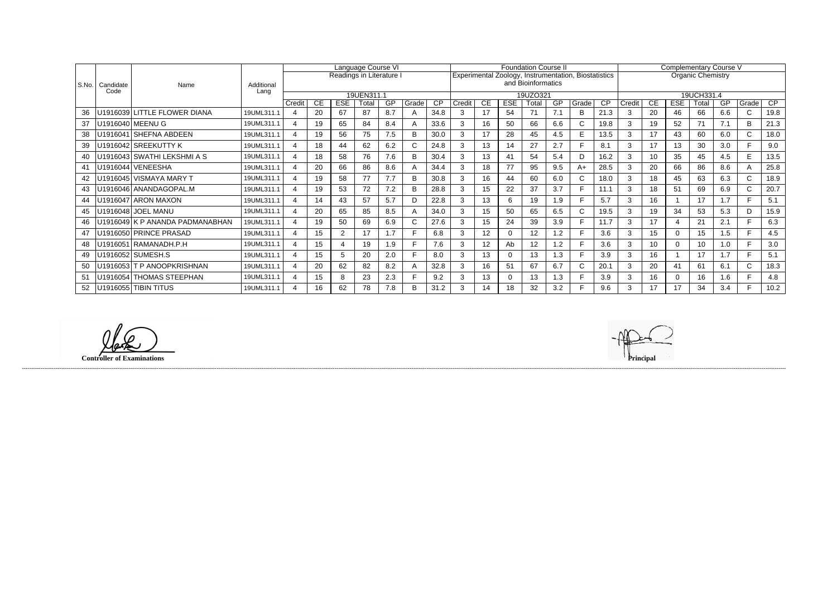|         |                   | Name                            | Additional<br>Lang | Language Course VI<br>Readings in Literature I |    |                |       |     |       |                 |                                                      |                    |            | <b>Foundation Course II</b> |           |              |           | Complementary Course V |                          |            |       |     |              |                 |  |
|---------|-------------------|---------------------------------|--------------------|------------------------------------------------|----|----------------|-------|-----|-------|-----------------|------------------------------------------------------|--------------------|------------|-----------------------------|-----------|--------------|-----------|------------------------|--------------------------|------------|-------|-----|--------------|-----------------|--|
|         | Candidate<br>Code |                                 |                    |                                                |    |                |       |     |       |                 | Experimental Zoology, Instrumentation, Biostatistics |                    |            |                             |           |              |           |                        | <b>Organic Chemistry</b> |            |       |     |              |                 |  |
| l S.No. |                   |                                 |                    |                                                |    |                |       |     |       |                 |                                                      | and Bioinformatics |            |                             |           |              |           |                        |                          |            |       |     |              |                 |  |
|         |                   |                                 |                    | 19UEN311.1                                     |    |                |       |     |       |                 |                                                      | 19UZO321           |            |                             |           |              |           |                        | 19UCH331.4               |            |       |     |              |                 |  |
|         |                   |                                 |                    | Credit                                         | CE | <b>ESE</b>     | Total | GP  | Grade | $\overline{CP}$ | Credit                                               | CE                 | <b>ESE</b> | Total                       | <b>GP</b> | Grade        | <b>CP</b> | Credit                 | <b>CE</b>                | <b>ESE</b> | Total | GP  | Grade        | $\overline{CP}$ |  |
| 36      |                   | U1916039 LITTLE FLOWER DIANA    | 19UML311.1         | $\overline{4}$                                 | 20 | 67             | 87    | 8.7 | A     | 34.8            | 3                                                    | 17                 | 54         | 71                          | 7.1       | B            | 21.3      | 3                      | 20                       | 46         | 66    | 6.6 | $\mathsf{C}$ | 19.8            |  |
| 37      |                   | U1916040 MEENU G                | 19UML311.1         | 4                                              | 19 | 65             | 84    | 8.4 |       | 33.6            | 3                                                    | 16                 | 50         | 66                          | 6.6       | $\mathsf{C}$ | 19.8      | 3                      | 19                       | 52         | 71    | 7.1 | B            | 21.3            |  |
| 38      |                   | U1916041 SHEFNA ABDEEN          | 19UML311.1         | 4                                              | 19 | 56             | 75    | 7.5 | B     | 30.0            | 3                                                    | 17                 | 28         | 45                          | 4.5       | E            | 13.5      | 3                      | 17                       | 43         | 60    | 6.0 | C.           | 18.0            |  |
| 39      |                   | U1916042 SREEKUTTY K            | 19UML311.1         | 4                                              | 18 | 44             | 62    | 6.2 |       | 24.8            | 3                                                    | 13                 | 14         | 27                          | 2.7       | E            | 8.1       | 3                      | 17                       | 13         | 30    | 3.0 |              | 9.0             |  |
| 40      |                   | U1916043 SWATHI LEKSHMI A S     | 19UML311.1         | $\boldsymbol{\Delta}$                          | 18 | 58             | 76    | 7.6 | B     | 30.4            | 3                                                    | 13                 | 41         | 54                          | 5.4       | D            | 16.2      | 3                      | 10 <sup>°</sup>          | 35         | 45    | 4.5 | E.           | 13.5            |  |
| 41      |                   | U1916044 VENEESHA               | 19UML311.1         | 4                                              | 20 | 66             | 86    | 8.6 |       | 34.4            | 3                                                    | 18                 | 77         | 95                          | 9.5       | $A+$         | 28.5      | 3                      | 20                       | 66         | 86    | 8.6 |              | 25.8            |  |
| 42      |                   | U1916045 VISMAYA MARY T         | 19UML311.1         | Δ                                              | 19 | 58             | 77    | 7.7 | B     | 30.8            |                                                      | 16                 | 44         | 60                          | 6.0       | $\mathsf{C}$ | 18.0      | 3                      | 18                       | 45         | 63    | 6.3 | C.           | 18.9            |  |
| 43      |                   | U1916046 ANANDAGOPAL.M          | 19UML311.1         | 4                                              | 19 | 53             | 72    | 7.2 | в     | 28.8            | 3                                                    | 15                 | 22         | 37                          | 3.7       | F            | 11.1      | 3                      | 18                       | 51         | 69    | 6.9 | C.           | 20.7            |  |
| 44      |                   | U1916047 ARON MAXON             | 19UML311.1         | 4                                              | 14 | 43             | 57    | 5.7 |       | 22.8            |                                                      | 13                 | 6          | 19                          | 1.9       | E            | 5.7       | 3                      | 16                       |            | 17    | 1.7 |              | 5.1             |  |
| 45      |                   | U1916048 JOEL MANU              | 19UML311.1         | 4                                              | 20 | 65             | 85    | 8.5 |       | 34.0            |                                                      | 15                 | 50         | 65                          | 6.5       | $\mathsf{C}$ | 19.5      | 3                      | 19                       | 34         | 53    | 5.3 | D            | 15.9            |  |
| 46      |                   | U1916049 K P ANANDA PADMANABHAN | 19UML311.1         | 4                                              | 19 | 50             | 69    | 6.9 |       | 27.6            | 3                                                    | 15                 | 24         | 39                          | 3.9       | F.           | 11.7      | 3                      | 17                       |            | 21    | 2.1 |              | 6.3             |  |
| 47      |                   | U1916050 PRINCE PRASAD          | 19UML311.1         | 4                                              | 15 | $\overline{2}$ | 17    | 1.7 |       | 6.8             |                                                      | 12                 | 0          | 12                          | 1.2       |              | 3.6       | 3                      | 15                       |            | 15    | 1.5 |              | 4.5             |  |
| 48      |                   | U1916051 RAMANADH.P.H           | 19UML311.1         | 4                                              | 15 | 4              | 19    | 1.9 |       | 7.6             | 3                                                    | 12                 | Ab         | 12                          | 1.2       | F            | 3.6       | 3                      | 10                       | $\Omega$   | 10    | 1.0 |              | 3.0             |  |
| 49      |                   | U1916052 SUMESH.S               | 19UML311.1         | 4                                              | 15 | 5              | 20    | 2.0 |       | 8.0             | 3                                                    | 13                 | $\Omega$   | 13                          | 1.3       | F            | 3.9       | 3                      | 16                       |            | 17    | 1.7 |              | 5.1             |  |
| 50      |                   | U1916053 T P ANOOPKRISHNAN      | 19UML311.1         | 4                                              | 20 | 62             | 82    | 8.2 |       | 32.8            | 3                                                    | 16                 | 51         | 67                          | 6.7       | $\mathsf{C}$ | 20.1      | 3                      | 20                       | 41         | 61    | 6.1 |              | 18.3            |  |
| 51      |                   | U1916054 THOMAS STEEPHAN        | 19UML311.1         | 4                                              | 15 | 8              | 23    | 2.3 |       | 9.2             | 3                                                    | 13                 | $\Omega$   | 13                          | 1.3       | F            | 3.9       | 3                      | 16                       | $\Omega$   | 16    | 1.6 |              | 4.8             |  |
| 52      |                   | U1916055 TIBIN TITUS            | 19UML311.1         | 4                                              | 16 | 62             | 78    | 7.8 | в     | 31.2            | З                                                    | 14                 | 18         | 32                          | 3.2       |              | 9.6       | 3                      | 17                       | 17         | 34    | 3.4 |              | 10.2            |  |

**Controller of Examinations Principal**

------------------------------------------------------------------------------------------------------------------------------------------------------------------------------------------------------------------------------------------------------------------------------------------------------------------------------------------------------------------------------------------------------------------------

llake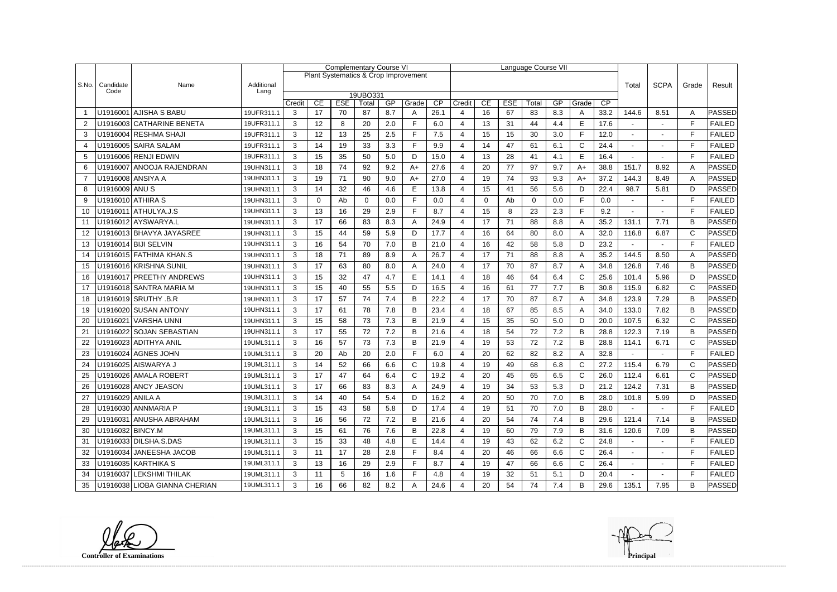|                |                   |                               |                    |              |          | <b>Complementary Course VI</b> |                   |     |                                      |                 |        |          |            | Language Course VII |     |              |             |                |                |              |               |
|----------------|-------------------|-------------------------------|--------------------|--------------|----------|--------------------------------|-------------------|-----|--------------------------------------|-----------------|--------|----------|------------|---------------------|-----|--------------|-------------|----------------|----------------|--------------|---------------|
|                |                   |                               |                    |              |          |                                |                   |     | Plant Systematics & Crop Improvement |                 |        |          |            |                     |     |              |             |                |                |              |               |
| S.No.          | Candidate<br>Code | Name                          | Additional<br>Lang |              |          |                                |                   |     |                                      |                 |        |          |            |                     |     | Total        | <b>SCPA</b> | Grade          | Result         |              |               |
|                |                   |                               |                    | Credit       | CE       | <b>ESE</b>                     | 19UBO331<br>Total | GP  | Grade                                | $\overline{CP}$ | Credit | CE       | <b>ESE</b> | Total               | GP  | Grade        | CP          |                |                |              |               |
|                |                   | U1916001 AJISHA S BABU        | 19UFR311.1         | 3            | 17       | 70                             | 87                | 8.7 | A                                    | 26.1            | 4      | 16       | 67         | 83                  | 8.3 | A            | 33.2        | 144.6          | 8.51           | Α            | PASSED        |
| 2              |                   | U1916003 CATHARINE BENETA     | 19UFR311.1         | 3            | 12       | 8                              | 20                | 2.0 | F                                    | 6.0             | 4      | 13       | 31         | 44                  | 4.4 | E            | 17.6        |                | $\blacksquare$ | F            | <b>FAILED</b> |
| 3              |                   | U1916004 RESHMA SHAJI         | 19UFR311.1         | 3            | 12       | 13                             | 25                | 2.5 | F                                    | 7.5             | 4      | 15       | 15         | 30                  | 3.0 | F.           | 12.0        |                |                | F            | <b>FAILED</b> |
| $\overline{4}$ |                   | U1916005 SAIRA SALAM          | 19UFR311.1         | 3            | 14       | 19                             | 33                | 3.3 | F                                    | 9.9             | 4      | 14       | 47         | 61                  | 6.1 | $\mathsf{C}$ | 24.4        | ٠              |                | E            | <b>FAILED</b> |
| 5              |                   | U1916006 RENJI EDWIN          | 19UFR311.1         | 3            | 15       | 35                             | 50                | 5.0 | D                                    | 15.0            | 4      | 13       | 28         | 41                  | 4.1 | E            | 16.4        |                |                | F            | <b>FAILED</b> |
| 6              |                   | U1916007 ANOOJA RAJENDRAN     | 19UHN311.1         | 3            | 18       | 74                             | 92                | 9.2 | $A+$                                 | 27.6            | 4      | 20       | 77         | 97                  | 9.7 | $A+$         | 38.8        | 151.7          | 8.92           | A            | PASSED        |
| $\overline{7}$ |                   | U1916008 ANSIYA A             | 19UHN311.1         | 3            | 19       | 71                             | 90                | 9.0 | $A+$                                 | 27.0            | 4      | 19       | 74         | 93                  | 9.3 | $A+$         | 37.2        | 144.3          | 8.49           | A            | PASSED        |
| 8              | U1916009 ANU S    |                               | 19UHN311.1         | 3            | 14       | 32                             | 46                | 4.6 | E                                    | 13.8            | 4      | 15       | 41         | 56                  | 5.6 | D            | 22.4        | 98.7           | 5.81           | D            | PASSED        |
| 9              |                   | U1916010 ATHIRA S             | 19UHN311.1         | 3            | $\Omega$ | Ab                             | $\Omega$          | 0.0 | F                                    | 0.0             | 4      | $\Omega$ | Ab         | $\Omega$            | 0.0 | F            | 0.0         |                |                | $\mathsf{F}$ | <b>FAILED</b> |
| 10             |                   | U1916011 ATHULYA.J.S          | 19UHN311.1         | 3            | 13       | 16                             | 29                | 2.9 | F                                    | 8.7             | 4      | 15       | 8          | 23                  | 2.3 | F.           | 9.2         |                |                | F            | <b>FAILED</b> |
| -11            |                   | U1916012 AYSWARYA.L           | 19UHN311.1         | 3            | 17       | 66                             | 83                | 8.3 | A                                    | 24.9            | 4      | 17       | 71         | 88                  | 8.8 | A            | 35.2        | 131.1          | 7.71           | B            | PASSED        |
| 12             |                   | U1916013 BHAVYA JAYASREE      | 19UHN311.1         | 3            | 15       | 44                             | 59                | 5.9 | D                                    | 17.7            | 4      | 16       | 64         | 80                  | 8.0 | A            | 32.0        | 116.8          | 6.87           | $\mathsf{C}$ | PASSED        |
| 13             |                   | U1916014 BIJI SELVIN          | 19UHN311.1         | 3            | 16       | 54                             | 70                | 7.0 | В                                    | 21.0            | 4      | 16       | 42         | 58                  | 5.8 | D            | 23.2        |                |                | F            | <b>FAILED</b> |
| 14             |                   | U1916015 FATHIMA KHAN.S       | 19UHN311.1         | 3            | 18       | 71                             | 89                | 8.9 | A                                    | 26.7            | 4      | 17       | 71         | 88                  | 8.8 | A            | 35.2        | 144.5          | 8.50           | Α            | PASSED        |
| 15             |                   | U1916016 KRISHNA SUNIL        | 19UHN311.1         | 3            | 17       | 63                             | 80                | 8.0 | A                                    | 24.0            | 4      | 17       | 70         | 87                  | 8.7 | A            | 34.8        | 126.8          | 7.46           | B            | <b>PASSED</b> |
| 16             |                   | U1916017 PREETHY ANDREWS      | 19UHN311.1         | 3            | 15       | 32                             | 47                | 4.7 | E                                    | 14.1            | 4      | 18       | 46         | 64                  | 6.4 | $\mathsf{C}$ | 25.6        | 101.4          | 5.96           | D            | PASSED        |
| 17             |                   | U1916018 SANTRA MARIA M       | 19UHN311.1         | 3            | 15       | 40                             | 55                | 5.5 | D                                    | 16.5            | 4      | 16       | 61         | 77                  | 7.7 | B            | 30.8        | 115.9          | 6.82           | $\mathsf{C}$ | PASSED        |
| 18             |                   | U1916019 SRUTHY .B.R          | 19UHN311.1         | 3            | 17       | 57                             | 74                | 7.4 | В                                    | 22.2            | 4      | 17       | 70         | 87                  | 8.7 | A            | 34.8        | 123.9          | 7.29           | В            | ∣PASSED       |
| 19             |                   | U1916020 SUSAN ANTONY         | 19UHN311.1         | 3            | 17       | 61                             | 78                | 7.8 | B                                    | 23.4            | 4      | 18       | 67         | 85                  | 8.5 | A            | 34.0        | 133.0          | 7.82           | B            | PASSED        |
| 20             |                   | U1916021 VARSHA UNNI          | 19UHN311.1         | 3            | 15       | 58                             | 73                | 7.3 | В                                    | 21.9            | 4      | 15       | 35         | 50                  | 5.0 | D            | 20.0        | 107.5          | 6.32           | $\mathsf{C}$ | <b>PASSED</b> |
| 21             |                   | U1916022 SOJAN SEBASTIAN      | 19UHN311.1         | 3            | 17       | 55                             | 72                | 7.2 | B                                    | 21.6            | 4      | 18       | 54         | 72                  | 7.2 | $\sf B$      | 28.8        | 122.3          | 7.19           | B            | PASSED        |
| 22             |                   | U1916023 ADITHYA ANIL         | 19UML311.1         | 3            | 16       | 57                             | 73                | 7.3 | B                                    | 21.9            | 4      | 19       | 53         | 72                  | 7.2 | B            | 28.8        | 114.1          | 6.71           | $\mathsf{C}$ | PASSED        |
| 23             |                   | U1916024 AGNES JOHN           | 19UML311.1         | 3            | 20       | Ab                             | 20                | 2.0 | F                                    | 6.0             | 4      | 20       | 62         | 82                  | 8.2 | A            | 32.8        |                |                | F            | <b>FAILED</b> |
| 24             |                   | U1916025 AISWARYA J           | 19UML311.1         | 3            | 14       | 52                             | 66                | 6.6 | C                                    | 19.8            | 4      | 19       | 49         | 68                  | 6.8 | $\mathsf{C}$ | 27.2        | 115.4          | 6.79           | $\mathsf{C}$ | PASSED        |
| 25             |                   | U1916026 AMALA ROBERT         | 19UML311.1         | 3            | 17       | 47                             | 64                | 6.4 | $\mathsf{C}$                         | 19.2            | Δ      | 20       | 45         | 65                  | 6.5 | $\mathsf{C}$ | 26.0        | 112.4          | 6.61           | $\mathsf{C}$ | PASSED        |
| 26             |                   | U1916028 ANCY JEASON          | 19UML311.1         | 3            | 17       | 66                             | 83                | 8.3 | A                                    | 24.9            | 4      | 19       | 34         | 53                  | 5.3 | D            | 21.2        | 124.2          | 7.31           | B            | PASSED        |
| 27             | U1916029 ANILA A  |                               | 19UML311.1         | 3            | 14       | 40                             | 54                | 5.4 | D                                    | 16.2            | 4      | 20       | 50         | 70                  | 7.0 | B            | 28.0        | 101.8          | 5.99           | D            | <b>PASSED</b> |
| 28             |                   | U1916030 ANNMARIA P           | 19UML311.1         | 3            | 15       | 43                             | 58                | 5.8 | D                                    | 17.4            | 4      | 19       | 51         | 70                  | 7.0 | B            | 28.0        |                |                | F            | <b>FAILED</b> |
| 29             |                   | U1916031 ANUSHA ABRAHAM       | 19UML311.1         | $\mathbf{3}$ | 16       | 56                             | 72                | 7.2 | B                                    | 21.6            | 4      | 20       | 54         | 74                  | 7.4 | B            | 29.6        | 121.4          | 7.14           | B            | PASSED        |
| 30             | U1916032 BINCY.M  |                               | 19UML311.1         | 3            | 15       | 61                             | 76                | 7.6 | B                                    | 22.8            | 4      | 19       | 60         | 79                  | 7.9 | B            | 31.6        | 120.6          | 7.09           | В            | <b>PASSED</b> |
| 31             |                   | U1916033 DILSHA.S.DAS         | 19UML311.1         | 3            | 15       | 33                             | 48                | 4.8 | E                                    | 14.4            | 4      | 19       | 43         | 62                  | 6.2 | $\mathsf{C}$ | 24.8        |                |                | $\mathsf F$  | <b>FAILED</b> |
| 32             |                   | U1916034 JANEESHA JACOB       | 19UML311.1         | $\mathbf{3}$ | 11       | 17                             | 28                | 2.8 | F                                    | 8.4             | 4      | 20       | 46         | 66                  | 6.6 | $\mathsf{C}$ | 26.4        | $\blacksquare$ |                | F            | <b>FAILED</b> |
| 33             |                   | U1916035 KARTHIKA S           | 19UML311.1         | 3            | 13       | 16                             | 29                | 2.9 | F.                                   | 8.7             | 4      | 19       | 47         | 66                  | 6.6 | $\mathsf{C}$ | 26.4        | $\sim$         |                | F            | <b>FAILED</b> |
| 34             |                   | U1916037 LEKSHMI THILAK       | 19UML311.1         | 3            | 11       | $\sqrt{5}$                     | 16                | 1.6 | F                                    | 4.8             | 4      | 19       | 32         | 51                  | 5.1 | D            | 20.4        | $\blacksquare$ |                | E            | <b>FAILED</b> |
| 35             |                   | U1916038 LIOBA GIANNA CHERIAN | 19UML311.1         | 3            | 16       | 66                             | 82                | 8.2 | A                                    | 24.6            | 4      | 20       | 54         | 74                  | 7.4 | B            | 29.6        | 135.1          | 7.95           | B            | <b>PASSED</b> |

**Controller of Examinations Principal**



------------------------------------------------------------------------------------------------------------------------------------------------------------------------------------------------------------------------------------------------------------------------------------------------------------------------------------------------------------------------------------------------------------------------